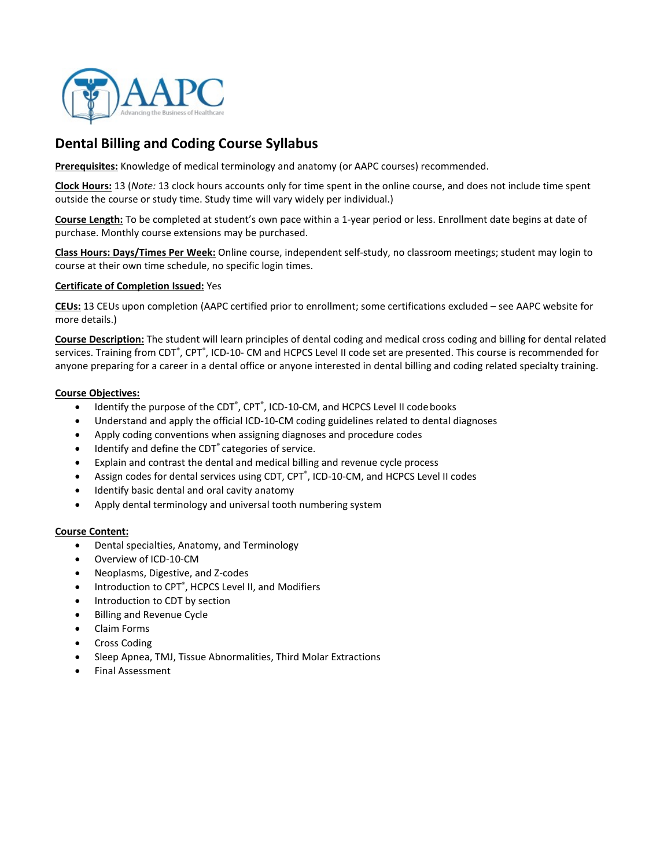

# **Dental Billing and Coding Course Syllabus**

**Prerequisites:** Knowledge of medical terminology and anatomy (or AAPC courses) recommended.

**Clock Hours:** 13 (*Note:* 13 clock hours accounts only for time spent in the online course, and does not include time spent outside the course or study time. Study time will vary widely per individual.)

**Course Length:** To be completed at student's own pace within a 1-year period or less. Enrollment date begins at date of purchase. Monthly course extensions may be purchased.

**Class Hours: Days/Times Per Week:** Online course, independent self-study, no classroom meetings; student may login to course at their own time schedule, no specific login times.

#### **Certificate of Completion Issued:** Yes

**CEUs:** 13 CEUs upon completion (AAPC certified prior to enrollment; some certifications excluded – see AAPC website for more details.)

**Course Description:** The student will learn principles of dental coding and medical cross coding and billing for dental related services. Training from CDT<sup>®</sup>, CPT<sup>®</sup>, ICD-10- CM and HCPCS Level II code set are presented. This course is recommended for anyone preparing for a career in a dental office or anyone interested in dental billing and coding related specialty training.

#### **Course Objectives:**

- Identify the purpose of the CDT<sup>®</sup>, CPT<sup>®</sup>, ICD-10-CM, and HCPCS Level II code books
- Understand and apply the official ICD-10-CM coding guidelines related to dental diagnoses
- Apply coding conventions when assigning diagnoses and procedure codes
- Identify and define the CDT<sup>®</sup> categories of service.
- Explain and contrast the dental and medical billing and revenue cycle process
- Assign codes for dental services using CDT, CPT<sup>®</sup>, ICD-10-CM, and HCPCS Level II codes
- Identify basic dental and oral cavity anatomy
- Apply dental terminology and universal tooth numbering system

#### **Course Content:**

- Dental specialties, Anatomy, and Terminology
- Overview of ICD-10-CM
- Neoplasms, Digestive, and Z-codes
- Introduction to CPT<sup>®</sup>, HCPCS Level II, and Modifiers
- Introduction to CDT by section
- Billing and Revenue Cycle
- Claim Forms
- Cross Coding
- Sleep Apnea, TMJ, Tissue Abnormalities, Third Molar Extractions
- Final Assessment